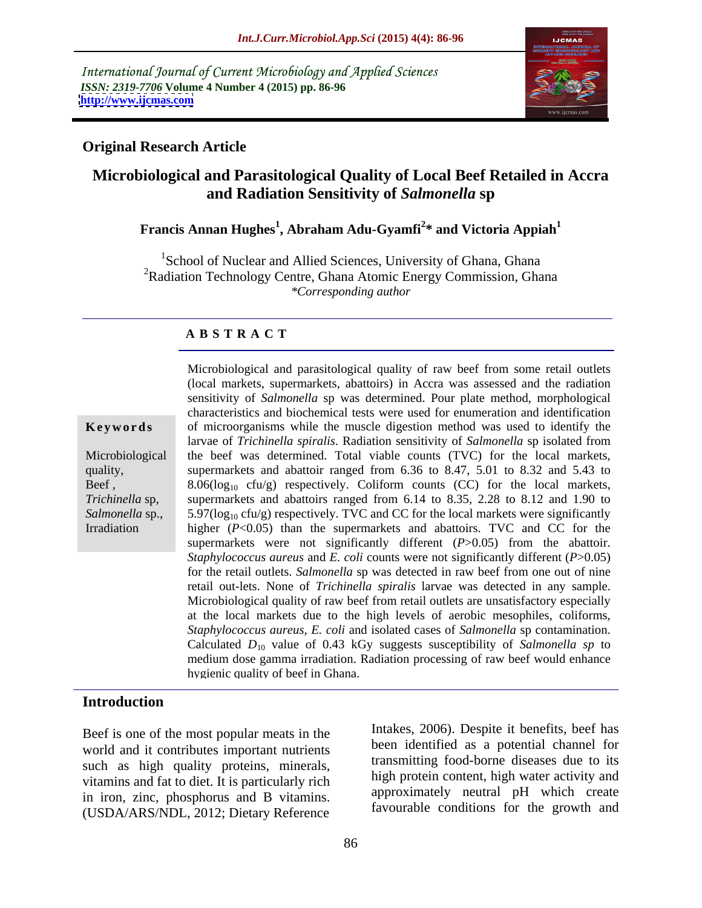International Journal of Current Microbiology and Applied Sciences *ISSN: 2319-7706* **Volume 4 Number 4 (2015) pp. 86-96 <http://www.ijcmas.com>**



## **Original Research Article**

# **Microbiological and Parasitological Quality of Local Beef Retailed in Accra and Radiation Sensitivity of** *Salmonella* **sp**

### **Francis Annan Hughes<sup>1</sup> , Abraham Adu-Gyamfi<sup>2</sup> \* and Victoria Appiah<sup>1</sup>**

<sup>1</sup>School of Nuclear and Allied Sciences, University of Ghana, Ghana <sup>2</sup>Radiation Technology Centre, Ghana Atomic Energy Commission, Ghana *\*Corresponding author*

### **A B S T R A C T**

Irradiation

Microbiological and parasitological quality of raw beef from some retail outlets (local markets, supermarkets, abattoirs) in Accra was assessed and the radiation sensitivity of *Salmonella* sp was determined. Pour plate method, morphological characteristics and biochemical tests were used for enumeration and identification **Keywords** of microorganisms while the muscle digestion method was used to identify the larvae of *Trichinella spiralis*. Radiation sensitivity of *Salmonella* sp isolated from Microbiological the beef was determined. Total viable counts (TVC) for the local markets, supermarkets and abattoir ranged from 6.36 to 8.47, 5.01 to 8.32 and 5.43 to quality, Beef,  $8.06(\log_{10} \text{ctu/g})$  respectively. Coliform counts (CC) for the local markets, supermarkets and abattoirs ranged from 6.14 to 8.35, 2.28 to 8.12 and 1.90 to *Trichinella* sp, Salmonella sp., 5.97(log<sub>10</sub> cfu/g) respectively. TVC and CC for the local markets were significantly higher ( $P < 0.05$ ) than the supermarkets and abattoirs. TVC and CC for the supermarkets were not significantly different (*P*>0.05) from the abattoir. *Staphylococcus aureus* and *E. coli* counts were not significantly different (*P*>0.05) for the retail outlets. *Salmonella* sp was detected in raw beef from one out of nine retail out-lets. None of *Trichinella spiralis* larvae was detected in any sample. Microbiological quality of raw beef from retail outlets are unsatisfactory especially at the local markets due to the high levels of aerobic mesophiles, coliforms, *Staphylococcus aureus*, *E. coli* and isolated cases of *Salmonella* sp contamination. Calculated  $D_{10}$  value of 0.43 kGy suggests susceptibility of *Salmonella sp* to medium dose gamma irradiation. Radiation processing of raw beef would enhance hygienic quality of beef in Ghana.

### **Introduction**

Beef is one of the most popular meats in the world and it contributes important nutrients such as high quality proteins, minerals, vitamins and fat to diet. It is particularly rich in iron, zinc, phosphorus and B vitamins. (USDA/ARS/NDL, 2012; Dietary Reference

Intakes, 2006). Despite it benefits, beef has been identified as a potential channel for transmitting food-borne diseases due to its high protein content, high water activity and approximately neutral pH which create favourable conditions for the growth and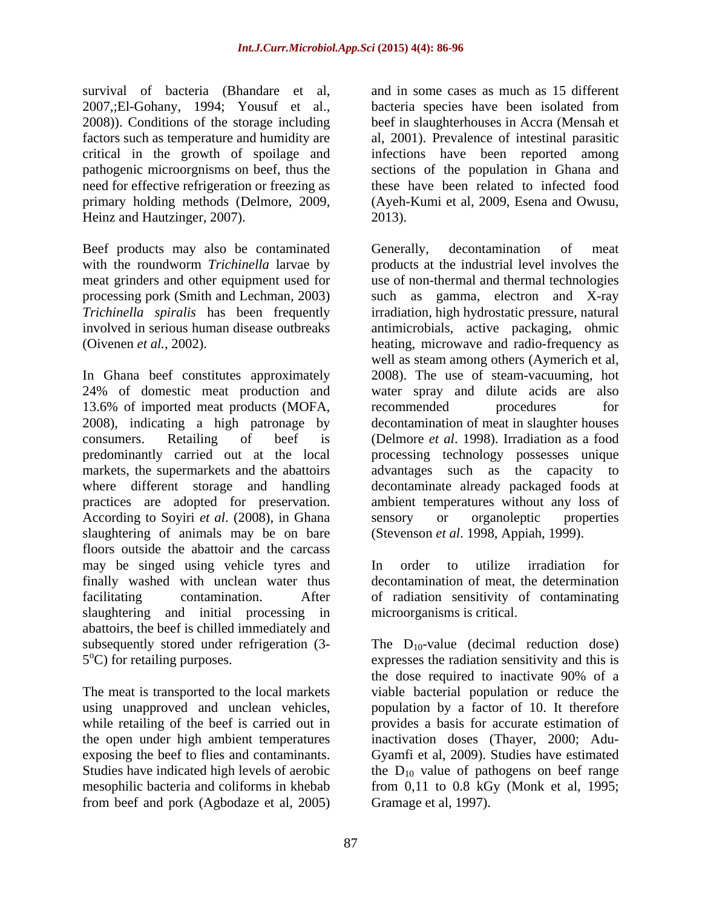survival of bacteria (Bhandare et al, 2007,;El-Gohany, 1994; Yousuf et al., 2008)). Conditions of the storage including beef in slaughterhouses in Accra (Mensah et factors such as temperature and humidity are al, 2001). Prevalence of intestinal parasitic critical in the growth of spoilage and infections have been reported among pathogenic microorgnisms on beef, thus the sections of the population in Ghana and need for effective refrigeration or freezing as these have been related to infected food primary holding methods (Delmore, 2009, (Ayeh-Kumi et al, 2009, Esena and Owusu, Heinz and Hautzinger, 2007). 2013.

Beef products may also be contaminated Generally, decontamination of meat

13.6% of imported meat products (MOFA, recommended procedures for According to Soyiri *et al*. (2008), in Ghana slaughtering of animals may be on bare floors outside the abattoir and the carcass may be singed using vehicle tyres and In order to utilize irradiation for finally washed with unclean water thus decontamination of meat, the determination finally washed with unclean water thus decontamination of meat, the determination facilitating contamination. After of radiation sensitivity of contaminating slaughtering and initial processing in abattoirs, the beef is chilled immediately and subsequently stored under refrigeration  $(3-$  The  $D_{10}$ -value (decimal reduction dose)

while retailing of the beef is carried out in from beef and pork (Agbodaze et al, 2005) and in some cases as much as 15 different bacteria species have been isolated from 2013).

with the roundworm *Trichinella* larvae by products at the industrial level involves the meat grinders and other equipment used for we of non-thermal and thermal technologies processing pork (Smith and Lechman*,* 2003) such as gamma, electron and X-ray *Trichinella spiralis* has been frequently irradiation, high hydrostatic pressure, natural involved in serious human disease outbreaks antimicrobials, active packaging, ohmic (Oivenen *et al.,* 2002). heating, microwave and radio-frequency as In Ghana beef constitutes approximately 2008). The use of steam-vacuuming, hot 24% of domestic meat production and water spray and dilute acids are also 2008), indicating a high patronage by decontamination of meat in slaughter houses consumers. Retailing of beef is (Delmore *et al*. 1998). Irradiation as a food predominantly carried out at the local processing technology possesses unique markets, the supermarkets and the abattoirs advantages such as the capacity to where different storage and handling decontaminate already packaged foods at practices are adopted for preservation. ambient temperatures without any loss of Generally, decontamination of meat well as steam among others (Aymerich et al, recommended procedures for sensory or organoleptic properties (Stevenson *et al*. 1998, Appiah, 1999).

> In order to utilize irradiation for microorganisms is critical.

5<sup>o</sup>C) for retailing purposes. expresses the radiation sensitivity and this is 5°C) for retailing purposes.<br>
The meat is transported to the local markets<br>
The meat is transported to the local markets<br>
The meat is transported to the local markets<br>
The bacterial population or reduce the using unapproved and unclean vehicles, population by a factor of 10. It therefore the open under high ambient temperatures inactivation doses (Thayer, 2000; Adu exposing the beef to flies and contaminants. Gyamfi et al, 2009). Studies have estimated Studies have indicated high levels of aerobic  $\qquad$  the  $D_{10}$  value of pathogens on beef range mesophilic bacteria and coliforms in khebab from 0,11 to 0.8 kGy (Monk et al, 1995; the dose required to inactivate 90% of a viable bacterial population or reduce the provides a basis for accurate estimation of Gramage et al, 1997).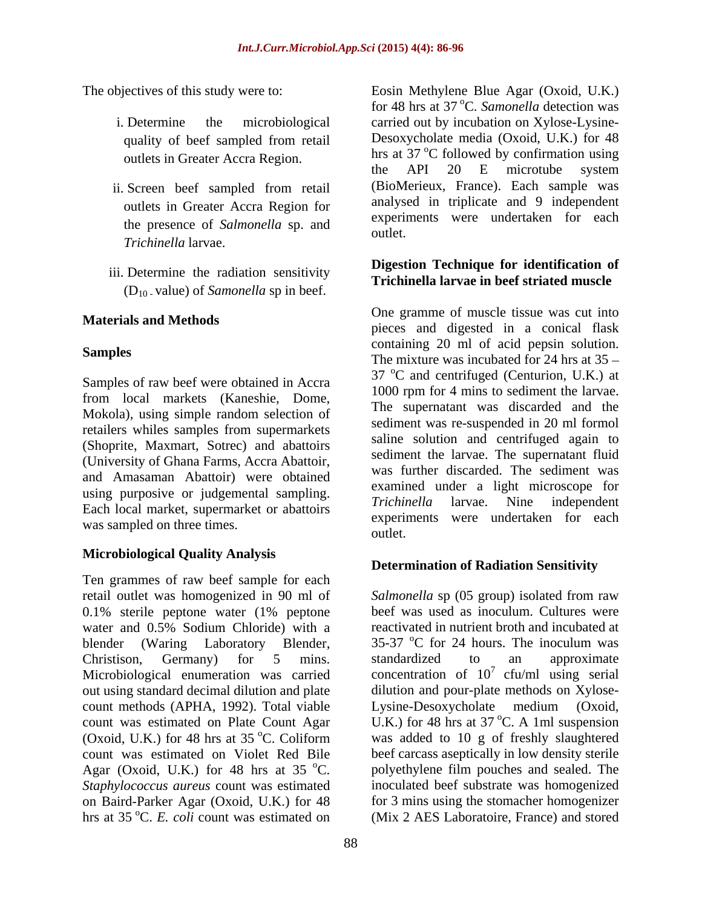- 
- outlets in Greater Accra Region for the presence of *Salmonella* sp. and  $\frac{C_{\text{AP}}}{\text{outlet}}$ . *Trichinella* larvae.
- iii. Determine the radiation sensitivity (D10 - value) of *Samonella* sp in beef.

Samples of raw beef were obtained in Accra from local markets (Kaneshie, Dome, Mokola), using simple random selection of retailers whiles samples from supermarkets (Shoprite, Maxmart, Sotrec) and abattoirs (University of Ghana Farms, Accra Abattoir, and Amasaman Abattoir) were obtained was sampled on three times.<br>
outlet.

# **Microbiological Quality Analysis**

Ten grammes of raw beef sample for each retail outlet was homogenized in 90 ml of 0.1% sterile peptone water (1% peptone water and 0.5% Sodium Chloride) with a blender (Waring Laboratory Blender, 35-37 °C for 24 hours. The inoculum was Christison, Germany) for 5 mins. Microbiological enumeration was carried concentration of  $10^7$  cfu/ml using serial out using standard decimal dilution and plate dilution and pour-plate methods on Xylose count methods (APHA, 1992). Total viable count was estimated on Plate Count Agar  $U.K$ .) for 48 hrs at 37 °C. A 1ml suspension (Oxoid, U.K.) for 48 hrs at 35 °C. Coliform was added to 10 g of freshly slaughtered count was estimated on Violet Red Bile beef carcass aseptically in low density sterile Agar (Oxoid, U.K.) for 48 hrs at 35  $^{\circ}$ C. polyethylene film pouches and sealed. The *Staphylococcus aureus* count was estimated inoculated beef substrate was homogenized on Baird-Parker Agar (Oxoid, U.K.) for 48 for 3 mins using the stomacher homogenizer hrs at 35 °C. *E. coli* count was estimated on (Mix 2 AES Laboratoire, France) and stored

The objectives of this study were to: Eosin Methylene Blue Agar (Oxoid, U.K.) i. Determine the microbiological carried out by incubation on Xylose-Lysine quality of beef sampled from retail Desoxycholate media (Oxoid, U.K.) for 48 outlets in Greater Accra Region. https://www.informultime.org/mathematics/mathematics/mathematics/mathematics/m<br>the API 20 E microtube system ii. Screen beef sampled from retail (BioMerieux, France). Each sample was for 48 hrs at 37 °C. Samonella detection was oC. *Samonella* detection was Desoxycholate media (Oxoid, U.K.) for 48 hrs at 37 °C followed by confirmation using <sup>o</sup>C followed by confirmation using the API 20 E microtube system (BioMerieux, France). Each sample was analysed in triplicate and 9 independent experiments were undertaken for each outlet.

### **Digestion Technique for identification of Trichinella larvae in beef striated muscle**

**Materials and Methods** biggested in a conical flask business and digested in a conical flask **Samples Samples Examples Containing** 20 **III** of active pepsin solution. using purposive or judgemental sampling.<br>Each local market, supermarket or abattoirs Fichinella larvae. Nine independent One gramme of muscle tissue was cut into containing 20 ml of acid pepsin solution.  $37 \text{ °C}$  and centrifuged (Centurion, U.K.) at 1000 rpm for 4 mins to sediment the larvae. The supernatant was discarded and the sediment was re-suspended in 20 ml formol saline solution and centrifuged again to sediment the larvae. The supernatant fluid was further discarded. The sediment was examined under a light microscope for *Trichinella* larvae. Nine independent experiments were undertaken for each outlet.

# **Determination of Radiation Sensitivity**

*Salmonella* sp (05 group) isolated from raw beef was used as inoculum. Cultures were reactivated in nutrient broth and incubated at 35-37  $^{\circ}$ C for 24 hours. The inoculum was standardized to an approximate  $\frac{7}{7}$  cfu/ml using serial Lysine-Desoxycholate medium (Oxoid, <sup>o</sup>C. A 1ml suspension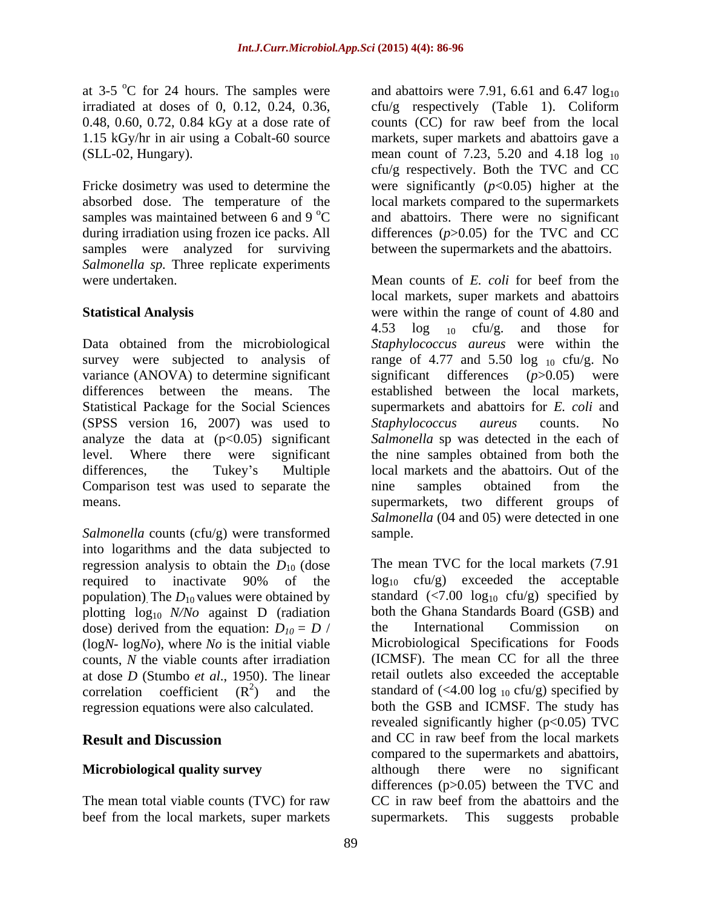at  $3-5$  °C for 24 hours. The samples were

samples were analyzed for surviving *Salmonella sp.* Three replicate experiments were undertaken. Mean counts of E. coli for beef from the

Data obtained from the microbiological *Staphylococcus aureus* were within the survey were subjected to analysis of range of 4.77 and 5.50 log  $_{10}$  cfu/g. No variance (ANOVA) to determine significant significant differences ( $p$ >0.05) were differences between the means. The established between the local markets, Statistical Package for the Social Sciences (SPSS version 16, 2007) was used to Staphylococcus aureus counts. No analyze the data at  $(p<0.05)$  significant level. Where there were significant the nine samples obtained from both the differences, the Tukey's Multiple local markets and the abattoirs. Out of the Comparison test was used to separate the nine samples obtained from the

*Salmonella* counts (cfu/g) were transformed into logarithms and the data subjected to regression analysis to obtain the  $D_{10}$  (dose population). The  $D_{10}$  values were obtained by plotting  $log_{10}$  *N/No* against D (radiation both the Ghana Standards Board (GSI dose) derived from the equation:  $D_{10} = D /$  the International Commission dose) derived from the equation:  $D_{10} = D$  / the International Commission on (logN- logNo), where No is the initial viable Microbiological Specifications for Foods counts, *N* the viable counts after irradiation at dose *D* (Stumbo *et al*., 1950). The linear regression equations were also calculated.

beef from the local markets, super markets supermarkets.

at 3-5  $\rm{°C}$  for 24 hours. The samples were and abattoirs were 7.91, 6.61 and 6.47  $\log_{10}$ irradiated at doses of 0, 0.12, 0.24, 0.36, cfu/g respectively (Table 1). Coliform 0.48, 0.60, 0.72, 0.84 kGy at a dose rate of counts (CC) for raw beef from the local 1.15 kGy/hr in air using a Cobalt-60 source markets, super markets and abattoirs gave a (SLL-02, Hungary). The mean count of  $7.23$ ,  $5.20$  and  $4.18 \log_{10}$ Fricke dosimetry was used to determine the were significantly  $(p<0.05)$  higher at the absorbed dose. The temperature of the local markets compared to the supermarkets samples was maintained between 6 and 9  $\rm{^{\circ}C}$  and abattoirs. There were no significant during irradiation using frozen ice packs. All differences (*p*>0.05) for the TVC and CC cfu/g respectively. Both the TVC and CC between the supermarkets and the abattoirs.

**Statistical Analysis** were within the range of count of 4.80 and means. supermarkets, two different groups of Mean counts of *E. coli* for beef from the local markets, super markets and abattoirs 4.53  $\log_{10}$  cfu/g. and those for supermarkets and abattoirs for *E. coli* and *Staphylococcus aureus* counts. No *Salmonella* sp was detected in the each of nine samples obtained from the *Salmonella* (04 and 05) were detected in one sample.

required to inactivate 90% of the  $log_{10}$  cfu/g) exceeded the acceptable (log*N*- log*No*), where *No* is the initial viable Microbiological Specifications for Foods correlation coefficient  $(R^2)$  and the standard of (<4.00 log <sub>10</sub> cfu/g) specified by **Result and Discussion** and CC in raw beef from the local markets **Microbiological quality survey** although there were no significant The mean total viable counts (TVC) for raw CC in raw beef from the abattoirs and the The mean TVC for the local markets (7.91  $log_{10}$  cfu/g) exceeded the acceptable standard  $\left(\frac{5}{100} \log_{10} \frac{\text{ctu/g}}{\text{g}}\right)$  specified by both the Ghana Standards Board (GSB) and the International Commission on (ICMSF). The mean CC for all the three retail outlets also exceeded the acceptable both the GSB and ICMSF. The study has revealed significantly higher  $(p<0.05)$  TVC compared to the supermarkets and abattoirs, although there were no significant differences (p>0.05) between the TVC and This suggests probable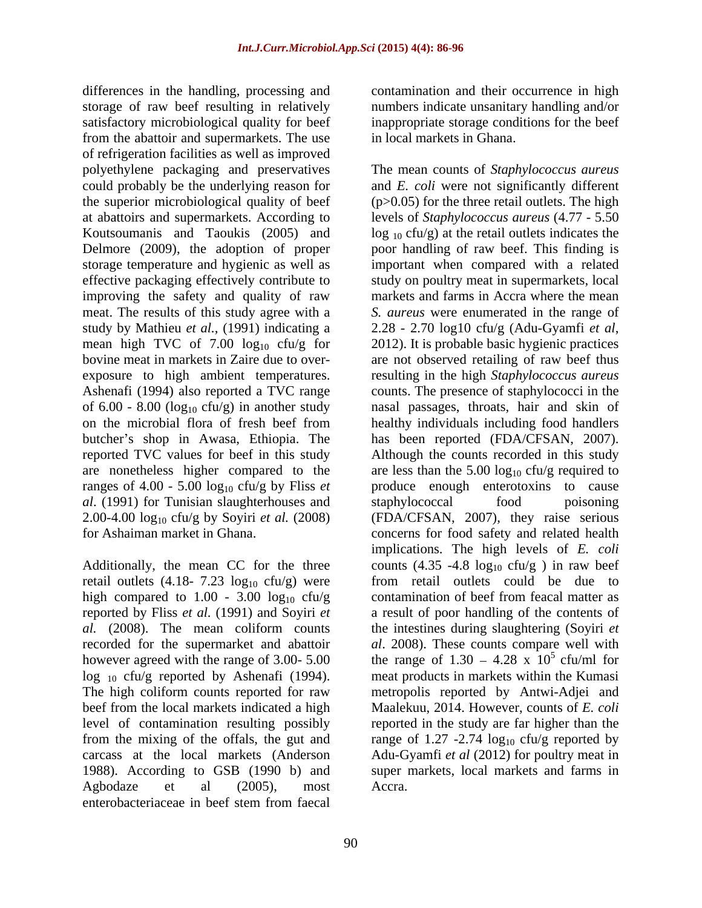differences in the handling, processing and storage of raw beef resulting in relatively satisfactory microbiological quality for beef from the abattoir and supermarkets. The use of refrigeration facilities as well as improved improving the safety and quality of raw study by Mathieu *et al.,* (1991) indicating a mean high TVC of 7.00  $log_{10}$  cfu/g for 2012). It is probable basic hygienic practices<br>bovine meat in markets in Zaire due to over-<br>are not observed retailing of raw beef thus butcher's shop in Awasa, Ethiopia. The has been reported (FDA/CFSAN, 2007). reported TVC values for beef in this study Although the counts recorded in this study ranges of  $4.00 - 5.00 \log_{10} c f u/g$  by Fliss *et al.* (1991) for Tunisian slaughterhouses and staphylococcal food poisoning

retail outlets  $(4.18 - 7.23 \log_{10} ctu/g)$  were high compared to 1.00 - 3.00  $log_{10}$  cfu/g 1988). According to GSB (1990 b) and enterobacteriaceae in beef stem from faecal

contamination and their occurrence in high numbers indicate unsanitary handling and/or inappropriate storage conditions for the beef in local markets in Ghana.

polyethylene packaging and preservatives The mean counts of *Staphylococcus aureus* could probably be the underlying reason for and *E. coli* were not significantly different the superior microbiological quality of beef (p>0.05) for the three retail outlets. The high at abattoirs and supermarkets. According to levels of *Staphylococcus aureus* (4.77 - 5.50 Koutsoumanis and Taoukis (2005) and  $log_{10}$  cfu/g) at the retail outlets indicates the Delmore (2009), the adoption of proper poor handling of raw beef. This finding is storage temperature and hygienic as well as important when compared with a related effective packaging effectively contribute to study on poultry meat in supermarkets, local meat. The results of this study agree with a *S. aureus* were enumerated in the range of bovine meat in markets in Zaire due to over- are not observed retailing of raw beef thus exposure to high ambient temperatures. resulting in the high *Staphylococcus aureus* Ashenafi (1994) also reported a TVC range counts. The presence of staphylococci in the of  $6.00 - 8.00$  ( $log_{10}$  cfu/g) in another study and passages, throats, hair and skin of on the microbial flora of fresh beef from healthy individuals including food handlers are nonetheless higher compared to the are less than the  $5.00 \log_{10} c f u/g$  required to 2.00-4.00 log<sub>10</sub> cfu/g by Soyiri *et al.* (2008) (FDA/CFSAN, 2007), they raise serious for Ashaiman market in Ghana. concerns for food safety and related health Additionally, the mean CC for the three counts  $(4.35 - 4.8 \log_{10} ctu/g)$  in raw beef reported by Fliss *et al.* (1991) and Soyiri *et*  a result of poor handling of the contents of *al.* (2008). The mean coliform counts the intestines during slaughtering (Soyiri *et* recorded for the supermarket and abattoir *al*. 2008). These counts compare well with however agreed with the range of 3.00- 5.00 the range of  $1.30 - 4.28 \times 10^5$  cfu/ml for  $\log_{10}$  cfu/g reported by Ashenafi (1994). meat products in markets within the Kumasi The high coliform counts reported for raw metropolis reported by Antwi-Adjei and beef from the local markets indicated a high Maalekuu, 2014. However, counts of *E. coli* level of contamination resulting possibly reported in the study are far higher than the from the mixing of the offals, the gut and range of  $1.27 - 2.74 \log_{10} c f u/g$  reported by carcass at the local markets (Anderson Adu-Gyamfi *et al* (2012) for poultry meat in Agbodaze et al (2005), most Accra. markets and farms in Accra where the mean 2.28 - 2.70 log10 cfu/g (Adu-Gyamfi *et al*, 2012). It is probable basic hygienic practices has been reported (FDA/CFSAN, 2007). Although the counts recorded in this study produce enough enterotoxins to cause staphylococcal food poisoning implications. The high levels of *E. coli* from retail outlets could be due to contamination of beef from feacal matter as 5 cfu/ml for super markets, local markets and farms in Accra.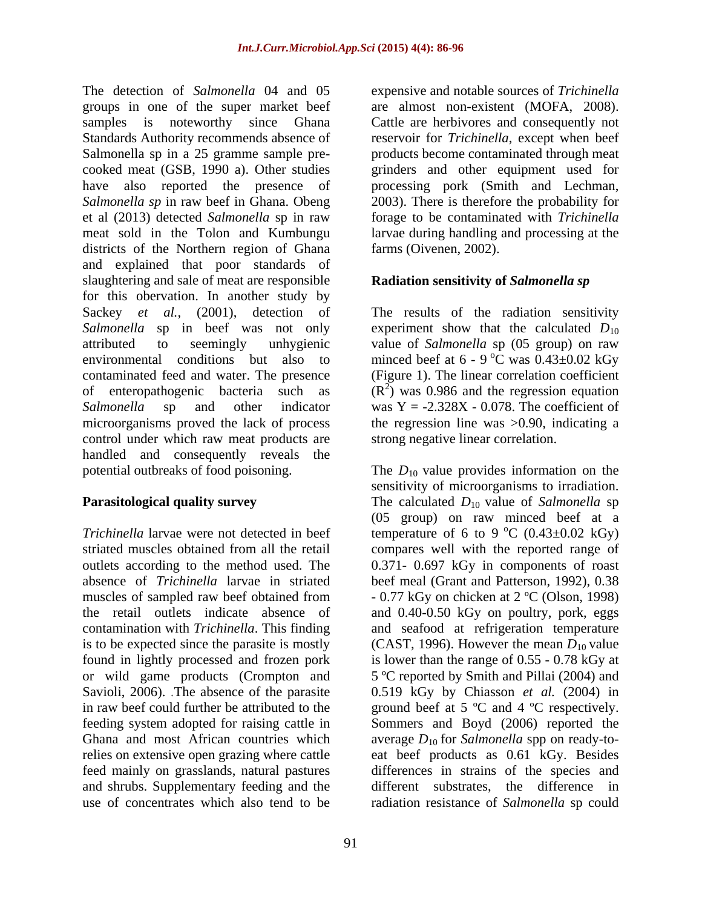The detection of *Salmonella* 04 and 05 expensive and notable sources of*Trichinella* groups in one of the super market beef samples is noteworthy since Ghana Cattle are herbivores and consequently not Standards Authority recommends absence of reservoir for *Trichinella*, except when beef Salmonella sp in a 25 gramme sample pre-<br>products become contaminated through meat cooked meat (GSB, 1990 a). Other studies grinders and other equipment used for have also reported the presence of *Salmonella sp* in raw beef in Ghana. Obeng 2003). There is therefore the probability for et al (2013) detected *Salmonella* sp in raw forage to be contaminated with *Trichinella* meat sold in the Tolon and Kumbungu larvae during handling and processing at the districts of the Northern region of Ghana and explained that poor standards of slaughtering and sale of meat are responsible for this obervation. In another study by Sackey *et al.*, (2001), detection of The results of the radiation sensitivity Salmonella sp in beef was not only experiment show that the calculated  $D_{10}$ attributed to seemingly unhygienic value of *Salmonella* sp (05 group) on raw environmental conditions but also to minced beef at  $6 - 9$  °C was  $0.43 \pm 0.02$  kGy contaminated feed and water. The presence (Figure 1). The linear correlation coefficient of enteropathogenic bacteria such as  $(R^2)$  was 0.986 and the regression equation Salmonella sp and other indicator was Y = -2.328X - 0.078. The coefficient of microorganisms proved the lack of process the regression line was >0.90, indicating a control under which raw meat products are handled and consequently reveals the potential outbreaks of food poisoning. The *D*<sub>10</sub> value provides information on the

in raw beef could further be attributed to the ground beef at  $5^{\circ}$ C and  $4^{\circ}$ C respectively. feeding system adopted for raising cattle in Sommers and Boyd (2006) reported the feed mainly on grasslands, natural pastures use of concentrates which also tend to be radiation resistance of *Salmonella* sp could

are almost non-existent (MOFA, 2008). processing pork (Smith and Lechman, farms (Oivenen, 2002).

# **Radiation sensitivity of** *Salmonella sp*

 ${}^{\circ}C$  was  $0.43\pm0.02$  kGy strong negative linear correlation.

**Parasitological quality survey** The calculated *D*<sub>10</sub> value of *Salmonella* sp *Trichinella* larvae were not detected in beef temperature of 6 to 9 °C (0.43±0.02 kGy) striated muscles obtained from all the retail compares well with the reported range of outlets according to the method used. The 0.371- 0.697 kGy in components of roast absence of *Trichinella* larvae in striated beef meal (Grant and Patterson, 1992), 0.38 muscles of sampled raw beef obtained from  $-0.77 \text{ kGy}$  on chicken at  $2 \text{ }^{\circ}\text{C}$  (Olson, 1998) the retail outlets indicate absence of and 0.40-0.50 kGy on poultry, pork, eggs contamination with *Trichinella*. This finding and seafood at refrigeration temperature is to be expected since the parasite is mostly  $(CAST, 1996)$ . However the mean  $D_{10}$  value found in lightly processed and frozen pork is lower than the range of 0.55 - 0.78 kGy at or wild game products (Crompton and 5 ºC reported by Smith and Pillai (2004) and Savioli, 2006). .The absence of the parasite 0.519 kGy by Chiasson *et al.* (2004) in Ghana and most African countries which average  $D_{10}$  for *Salmonella* spp on ready-torelies on extensive open grazing where cattle eat beef products as 0.61 kGy. Besides and shrubs. Supplementary feeding and the different substrates, the difference in sensitivity of microorganisms to irradiation. (05 group) on raw minced beef at a  $^{\circ}$ C (0.43 $\pm$ 0.02 kGy) ground beef at <sup>5</sup> ºC and <sup>4</sup> ºC respectively. Sommers and Boyd (2006) reported the differences in strains of the species and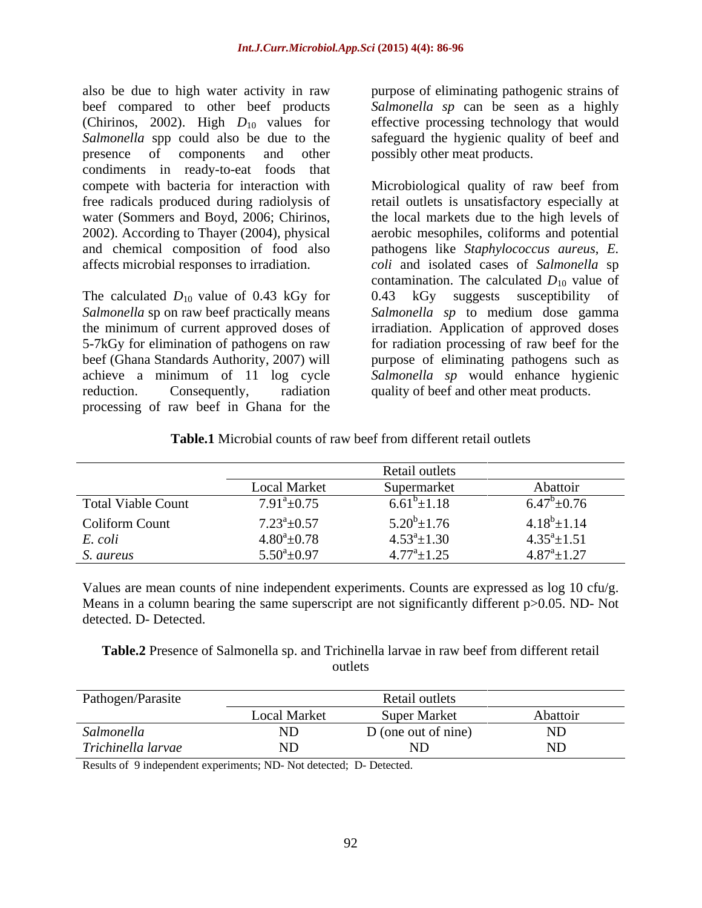also be due to high water activity in raw purpose of eliminating pathogenic strains of beef compared to other beef products *Salmonella sp* can be seen as a highly (Chirinos, 2002). High  $D_{10}$  values for effective processing technology that would Salmonella spp could also be due to the safeguard the hygienic quality of beef and presence of components and other possibly other meat products. condiments in ready-to-eat foods that

The calculated  $D_{10}$  value of 0.43 kGy for 0.43 kGy suggests susceptibility of *Salmonella* sp to medium dose gamma the minimum of current approved doses of achieve a minimum of 11 log cycle processing of raw beef in Ghana for the

possibly other meat products.

compete with bacteria for interaction with Microbiological quality of raw beef from free radicals produced during radiolysis of retail outlets is unsatisfactory especially at water (Sommers and Boyd, 2006; Chirinos, the local markets due to the high levels of 2002). According to Thayer (2004), physical aerobic mesophiles, coliformsand potential and chemical composition of food also pathogens like *Staphylococcus aureus*, *E.*  affects microbial responses to irradiation. *coli* and isolated cases of *Salmonella* sp *Salmonella* sp on raw beef practically means *Salmonella sp* to medium dose gamma 5-7kGy for elimination of pathogens on raw for radiation processing of raw beef for the beef (Ghana Standards Authority, 2007) will purpose of eliminating pathogens such as reduction. Consequently, radiation quality of beef and other meat products. contamination. The calculated  $D_{10}$  value of 0.43 kGy suggests susceptibility of irradiation. Application of approved doses *Salmonella sp* would enhance hygienic

**Table.1** Microbial counts of raw beef from different retail outlets

|                           | Retail outlets       |                       |                      |
|---------------------------|----------------------|-----------------------|----------------------|
|                           | <b>Local Market</b>  | Supermarket           | Abattoir             |
| <b>Total Viable Count</b> | $7.91^{\circ}$ ±0.75 | $6.61^b \pm 1.18$     | $6.47^b \pm 0.76$    |
| <b>Coliform Count</b>     | $7.23^a \pm 0.57$    | $5.20^b \pm 1.76$     | $4.18^b \pm 1.14$    |
| E. coli                   | $4.80^a \pm 0.78$    | $4.53^a \pm 1.30$     | $4.35^a \pm 1.51$    |
| S. aureus                 | $5.50^{\circ}$ ±0.97 | $4.77^{\rm a}$ ± 1.25 | $4.87^{\rm a}$ ±1.27 |

Values are mean counts of nine independent experiments. Counts are expressed as log 10 cfu/g. Means in a column bearing the same superscript are not significantly different p $>0.05$ . ND-Not detected. D- Detected.

**Table.2** Presence of Salmonella sp. and Trichinella larvae in raw beef from different retail outlets and the set of the set of the set of the set of the set of the set of the set of the set of the set of the set of the set of the set of the set of the set of the set of the set of the set of the set of the set of t

| Pathogen/Parasite  |                     | Retail outlets      |                     |
|--------------------|---------------------|---------------------|---------------------|
|                    | <b>Local Market</b> | Super Market        | Abattoi             |
| Salmonella         |                     | D (one out of nine) | $\mathbf{r}$<br>ND. |
| Trichinella larvae |                     |                     |                     |

Results of 9 independent experiments; ND- Not detected; D- Detected.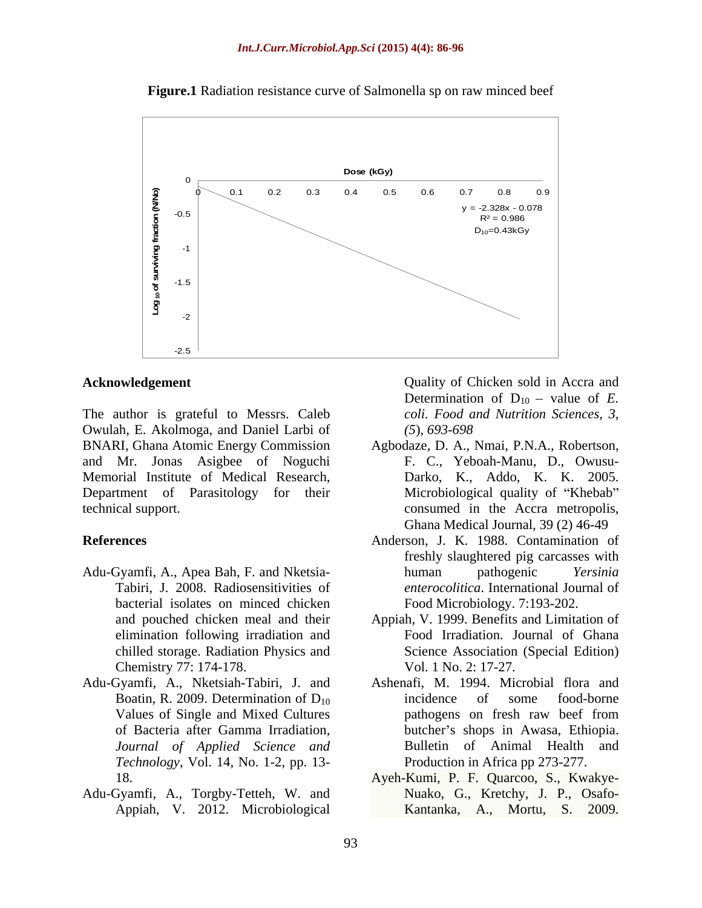

**Figure.1** Radiation resistance curve of Salmonella sp on raw minced beef

The author is grateful to Messrs. Caleb Owulah, E. Akolmoga, and Daniel Larbi of BNARI, Ghana Atomic Energy Commission and Mr. Jonas Asigbee of Noguchi Memorial Institute of Medical Research, Department of Parasitology for their Microbiological quality of "Khebab"

- Adu-Gyamfi, A., Apea Bah, F. and Nketsia-<br>human pathogenic Yersinia bacterial isolates on minced chicken elimination following irradiation and Chemistry 77: 174-178.
- Adu-Gyamfi, A., Nketsiah-Tabiri, J. and *Journal of Applied Science and Technology*, Vol. 14, No. 1-2, pp. 13-
- Adu-Gyamfi, A., Torgby-Tetteh, W. and Appiah, V. 2012. Microbiological

**Acknowledgement** Quality of Chicken sold in Accra and Determination of  $D_{10}$  – value of *E*. *coli. Food and Nutrition Sciences, 3, (5*), *693-698*

- technical support. consumed in the Accra metropolis, Agbodaze, D. A., Nmai, P.N.A., Robertson, F. C., Yeboah-Manu, D., Owusu- Darko, K., Addo, K. K. 2005. Ghana Medical Journal, 39 (2) 46-49
- **References** Anderson, J. K. 1988. Contamination of Tabiri, J. 2008. Radiosensitivities of *enterocolitica*. International Journal of freshly slaughtered pig carcasses with human pathogenic *Yersinia*  Food Microbiology. 7:193-202.
	- and pouched chicken meal and their Appiah, V. 1999. Benefits and Limitation of chilled storage. Radiation Physics and Science Association (Special Edition) Food Irradiation. Journal of Ghana Vol. 1 No. 2: 17-27.
	- Boatin, R. 2009. Determination of  $D_{10}$  incidence of some food-borne<br>Values of Single and Mixed Cultures pathogens on fresh raw beef from pathogens on fresh raw beef from of Bacteria after Gamma Irradiation, butcher s shops in Awasa, Ethiopia. Ashenafi, M. 1994. Microbial flora and incidence of some food-borne pathogens on fresh raw beef from Bulletin of Animal Health and Production in Africa pp 273-277.
	- 18. Ayeh-Kumi, P. F. Quarcoo, S., Kwakye- Nuako, G., Kretchy, J. P., Osafo- Kantanka, A., Mortu, S. 2009.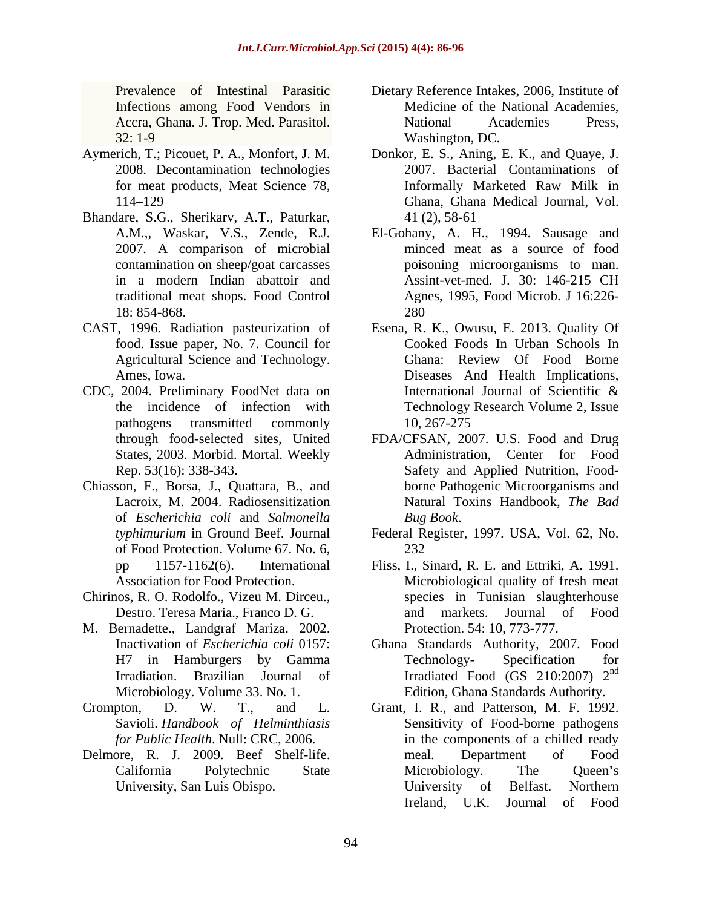Infections among Food Vendors in

- 
- Bhandare, S.G., Sherikarv, A.T., Paturkar, 2007. A comparison of microbial contamination on sheep/goat carcasses traditional meat shops. Food Control
- food. Issue paper, No. 7. Council for
- States, 2003. Morbid. Mortal. Weekly
- Chiasson, F., Borsa, J., Quattara, B., and of *Escherichia coli* and *Salmonella*  of Food Protection. Volume 67. No. 6,
- Chirinos, R. O. Rodolfo., Vizeu M. Dirceu.,
- M. Bernadette., Landgraf Mariza. 2002.
- Savioli. *Handbook of Helminthiasis*
- 
- Prevalence of Intestinal Parasitic Dietary Reference Intakes, 2006, Institute of Accra, Ghana. J. Trop. Med. Parasitol. 32: 1-9 Washington, DC. Medicine of the National Academies, National Academies Press, Washington, DC.
- Aymerich, T.; Picouet, P. A., Monfort, J. M. Donkor, E. S., Aning, E. K., and Quaye, J. 2008. Decontamination technologies 2007. Bacterial Contaminations of for meat products, Meat Science 78, The Informally Marketed Raw Milk in 114 129 Ghana, Ghana Medical Journal, Vol. Informally Marketed Raw Milk in 41 (2), 58-61
	- A.M.,, Waskar, V.S., Zende, R.J. El-Gohany, A. H., 1994. Sausage and in a modern Indian abattoir and Assint-vet-med. J. 30: 146-215 CH 18: 854-868. minced meat as a source of food poisoning microorganisms to man. Assint-vet-med. J. 30: 146-215 CH Agnes, 1995, Food Microb. J 16:226- 280
- CAST, 1996. Radiation pasteurization of Esena, R. K., Owusu, E. 2013. Quality Of Agricultural Science and Technology. Ghana: Review Of Food Borne Ames, Iowa. Diseases And Health Implications, CDC, 2004. Preliminary FoodNet data on International Journal of Scientific & the incidence of infection with Technology Research Volume 2, Issue pathogens transmitted commonly 10, 267-275 Cooked Foods In Urban Schools In Ghana: Review Of Food Borne International Journal of Scientific & 10, 267-275
	- through food-selected sites, United FDA/CFSAN, 2007. U.S. Food and Drug Rep. 53(16): 338-343. Safety and Applied Nutrition, Food- Lacroix, M. 2004. Radiosensitization Natural Toxins Handbook, *The Bad* Administration, Center for Food borne Pathogenic Microorganisms and *Bug Book*.
	- *typhimurium* in Ground Beef. Journal Federal Register, 1997. USA, Vol. 62, No. 232
	- pp 1157-1162(6). International Fliss, I., Sinard, R. E. and Ettriki, A. 1991. Association for Food Protection. Microbiological quality of fresh meat Destro. Teresa Maria., Franco D. G. species in Tunisian slaughterhouse and markets. Journal of Food Protection. 54: 10, 773-777.
	- Inactivation of *Escherichia coli* 0157: Ghana Standards Authority, 2007. Food H7 in Hamburgers by Gamma Technology- Specification for Irradiation. Brazilian Journal of Irradiated Food (GS 210:2007) 2<sup>nd</sup> Microbiology. Volume 33. No. 1. Edition, Ghana Standards Authority. Technology- Specification for nd
- Crompton, D. W. T., and L. Grant, I. R., and Patterson, M. F. 1992. *for Public Health*. Null: CRC, 2006. in the components of a chilled ready Delmore, R. J. 2009. Beef Shelf-life. The meal. Department of Food California Polytechnic State University, San Luis Obispo. **Example 20** University of Belfast. Northern Sensitivity of Food-borne pathogens meal. Department of Food Microbiology. The Queen's University of Belfast. Northern Ireland, U.K. Journal of Food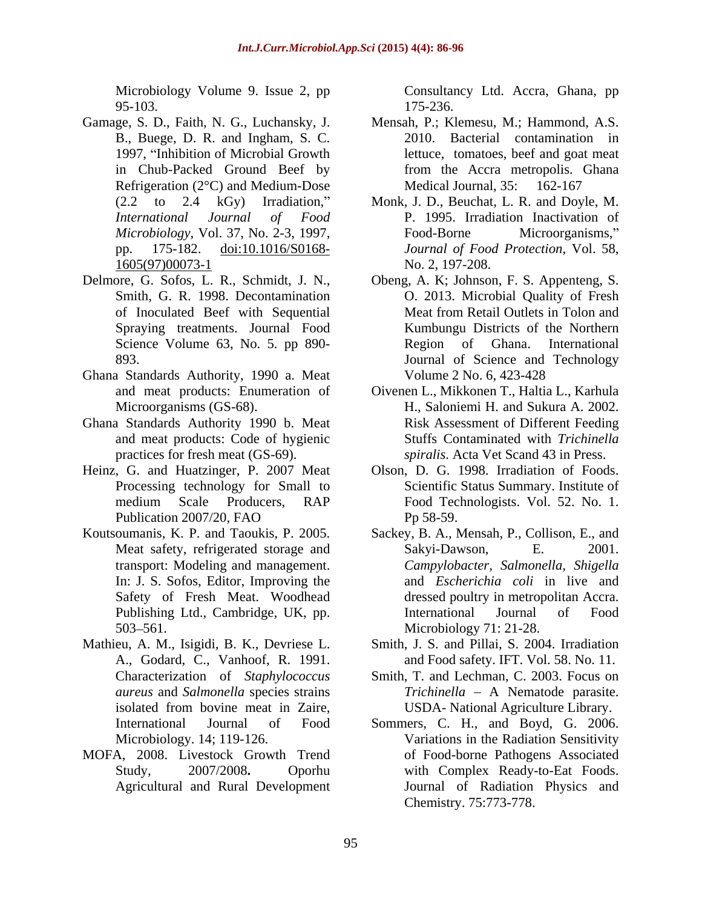Microbiology Volume 9. Issue 2, pp Consultancy Ltd. Accra, Ghana, pp 95-103.

- Gamage, S. D., Faith, N. G., Luchansky, J. Refrigeration (2°C) and Medium-Dose Medical Journal, 35: 162-167 1605(97)00073-1
- Delmore, G. Sofos, L. R., Schmidt, J. N., Obeng, A. K; Johnson, F. S. Appenteng, S.
- Ghana Standards Authority, 1990 a. Meat
- Ghana Standards Authority 1990 b. Meat and meat products: Code of hygienic
- Processing technology for Small to
- Safety of Fresh Meat. Woodhead
- Mathieu, A. M., Isigidi, B. K., Devriese L. A., Godard, C., Vanhoof, R. 1991.
- MOFA, 2008. Livestock Growth Trend Agricultural and Rural Development

175-236.

- B., Buege, D. R. and Ingham, S. C. 2010. Bacterial contamination in 1997, "Inhibition of Microbial Growth lettuce, tomatoes, beef and goat meat in Chub-Packed Ground Beef by from the Accra metropolis. Ghana Mensah, P.; Klemesu, M.; Hammond, A.S. Medical Journal, 35: 162-167
- (2.2 to 2.4 kGy) Irradiation," Monk, J. D., Beuchat, L. R. and Doyle, M. *International Journal of Food* P. 1995. Irradiation Inactivation of *Microbiology*, Vol. 37, No. 2-3, 1997, pp. 175-182. doi:10.1016/S0168- *Journal of Food Protection*, Vol. 58, Food-Borne Microorganisms," No. 2, 197-208.
- Smith, G. R. 1998. Decontamination O. 2013. Microbial Quality of Fresh of Inoculated Beef with Sequential Spraying treatments. Journal Food Kumbungu Districts of the Northern Science Volume 63, No. 5. pp 890-<br>Region of Ghana. International 893. Journal of Science and Technology Meat from Retail Outlets in Tolon and Region of Ghana. International Volume 2 No. 6, 423-428
- and meat products: Enumeration of Oivenen L., Mikkonen T., Haltia L., Karhula Microorganisms (GS-68). H., Saloniemi H. and Sukura A. 2002. practices for fresh meat (GS-69). *spiralis*. Acta Vet Scand 43 in Press. Risk Assessment of Different Feeding Stuffs Contaminated with *Trichinella*
- Heinz, G. and Huatzinger, P. 2007 Meat Olson, D. G. 1998. Irradiation of Foods. medium Scale Producers, RAP Food Technologists. Vol. 52. No. 1. Publication 2007/20, FAO Pp 58-59. Scientific Status Summary. Institute of Pp 58-59.
- Koutsoumanis, K. P. and Taoukis, P. 2005. Sackey, B. A., Mensah, P., Collison, E., and Meat safety, refrigerated storage and Sakyi-Dawson, E. 2001. transport: Modeling and management. *Campylobacter, Salmonella, Shigella* In: J. S. Sofos, Editor, Improving the and *Escherichia coli* in live and Publishing Ltd., Cambridge, UK, pp. **International** Journal of Food 503–561. Microbiology 71: 21-28. Sakyi-Dawson, E. 2001. dressed poultry in metropolitan Accra. International Journal of Food Microbiology 71: 21-28.
	- Smith, J. S. and Pillai, S. 2004. Irradiation and Food safety. IFT. Vol. 58. No. 11.
	- Characterization of *Staphylococcus*  Smith, T. and Lechman, C. 2003. Focus on *aureus* and *Salmonella* species strains *Trichinella* A Nematode parasite. isolated from bovine meat in Zaire, USDA-National Agriculture Library. USDA- National Agriculture Library.
	- International Journal of Food Sommers, C. H., and Boyd, G. 2006. Microbiology. 14; 119-126. Variations in the Radiation Sensitivity Study, 2007/2008**.** Oporhu with Complex Ready-to-Eat Foods. of Food-borne Pathogens Associated Journal of Radiation Physics and Chemistry. 75:773-778.